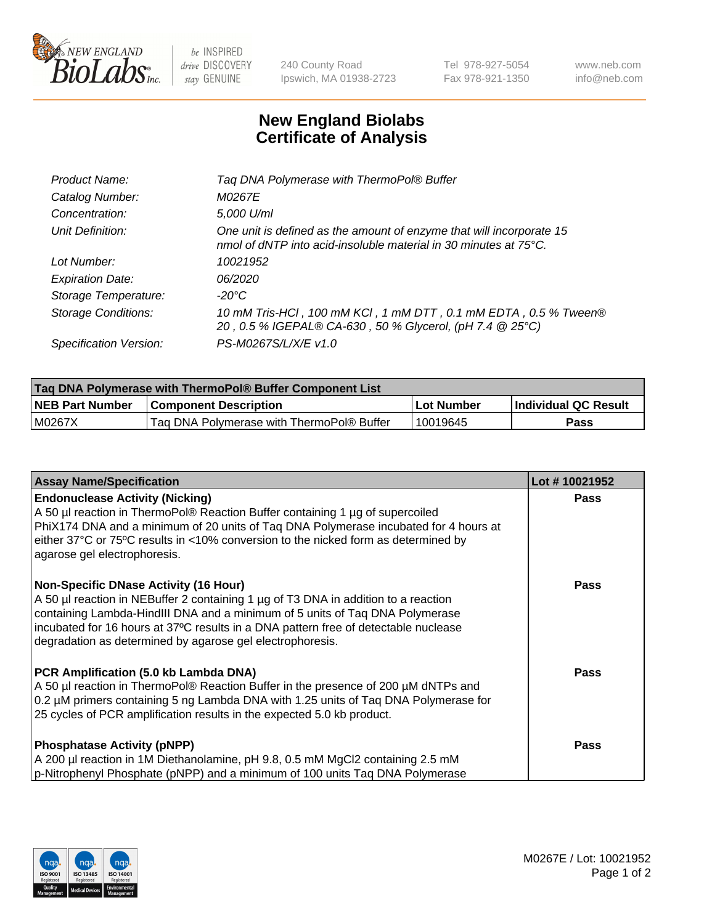

 $be$  INSPIRED drive DISCOVERY stay GENUINE

240 County Road Ipswich, MA 01938-2723 Tel 978-927-5054 Fax 978-921-1350 www.neb.com info@neb.com

## **New England Biolabs Certificate of Analysis**

| Tag DNA Polymerase with ThermoPol® Buffer                                                                                                |
|------------------------------------------------------------------------------------------------------------------------------------------|
| M0267E                                                                                                                                   |
| 5,000 U/ml                                                                                                                               |
| One unit is defined as the amount of enzyme that will incorporate 15<br>nmol of dNTP into acid-insoluble material in 30 minutes at 75°C. |
| 10021952                                                                                                                                 |
| 06/2020                                                                                                                                  |
| $-20^{\circ}$ C                                                                                                                          |
| 10 mM Tris-HCl, 100 mM KCl, 1 mM DTT, 0.1 mM EDTA, 0.5 % Tween®<br>20, 0.5 % IGEPAL® CA-630, 50 % Glycerol, (pH 7.4 @ 25°C)              |
| PS-M0267S/L/X/E v1.0                                                                                                                     |
|                                                                                                                                          |

| <b>Tag DNA Polymerase with ThermoPol® Buffer Component List</b> |                                           |            |                      |  |  |
|-----------------------------------------------------------------|-------------------------------------------|------------|----------------------|--|--|
| <b>NEB Part Number</b>                                          | <b>Component Description</b>              | Lot Number | Individual QC Result |  |  |
| M0267X                                                          | Tag DNA Polymerase with ThermoPol® Buffer | 10019645   | Pass                 |  |  |

| <b>Assay Name/Specification</b>                                                                                                                                                                                                                                                                                                                                        | Lot #10021952 |
|------------------------------------------------------------------------------------------------------------------------------------------------------------------------------------------------------------------------------------------------------------------------------------------------------------------------------------------------------------------------|---------------|
| <b>Endonuclease Activity (Nicking)</b><br>A 50 µl reaction in ThermoPol® Reaction Buffer containing 1 µg of supercoiled<br>PhiX174 DNA and a minimum of 20 units of Taq DNA Polymerase incubated for 4 hours at<br>either 37°C or 75°C results in <10% conversion to the nicked form as determined by<br>agarose gel electrophoresis.                                  | <b>Pass</b>   |
| <b>Non-Specific DNase Activity (16 Hour)</b><br>A 50 µl reaction in NEBuffer 2 containing 1 µg of T3 DNA in addition to a reaction<br>containing Lambda-HindIII DNA and a minimum of 5 units of Taq DNA Polymerase<br>incubated for 16 hours at 37°C results in a DNA pattern free of detectable nuclease<br>degradation as determined by agarose gel electrophoresis. | <b>Pass</b>   |
| PCR Amplification (5.0 kb Lambda DNA)<br>A 50 µl reaction in ThermoPol® Reaction Buffer in the presence of 200 µM dNTPs and<br>0.2 µM primers containing 5 ng Lambda DNA with 1.25 units of Taq DNA Polymerase for<br>25 cycles of PCR amplification results in the expected 5.0 kb product.                                                                           | <b>Pass</b>   |
| <b>Phosphatase Activity (pNPP)</b><br>A 200 µl reaction in 1M Diethanolamine, pH 9.8, 0.5 mM MgCl2 containing 2.5 mM<br>p-Nitrophenyl Phosphate (pNPP) and a minimum of 100 units Taq DNA Polymerase                                                                                                                                                                   | <b>Pass</b>   |